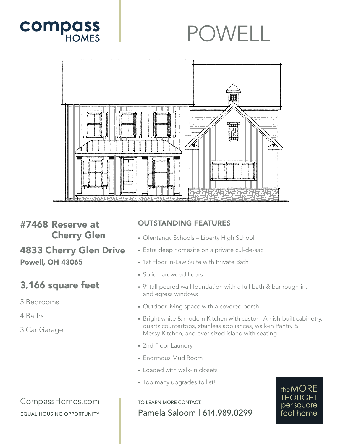

## POWELL



#7468 Reserve at Cherry Glen

4833 Cherry Glen Drive Powell, OH 43065

## 3,166 square feet

5 Bedrooms

4 Baths

3 Car Garage

## OUTSTANDING FEATURES

- Olentangy Schools Liberty High School
- Extra deep homesite on a private cul-de-sac
- 1st Floor In-Law Suite with Private Bath
- Solid hardwood floors
- 9' tall poured wall foundation with a full bath & bar rough-in, and egress windows
- Outdoor living space with a covered porch
- Bright white & modern Kitchen with custom Amish-built cabinetry, quartz countertops, stainless appliances, walk-in Pantry & Messy Kitchen, and over-sized island with seating
- 2nd Floor Laundry
- Enormous Mud Room
- Loaded with walk-in closets
- Too many upgrades to list!!

TO LEARN MORE CONTACT: Pamela Saloom | 614.989.0299



CompassHomes.com EQUAL HOUSING OPPORTUNITY